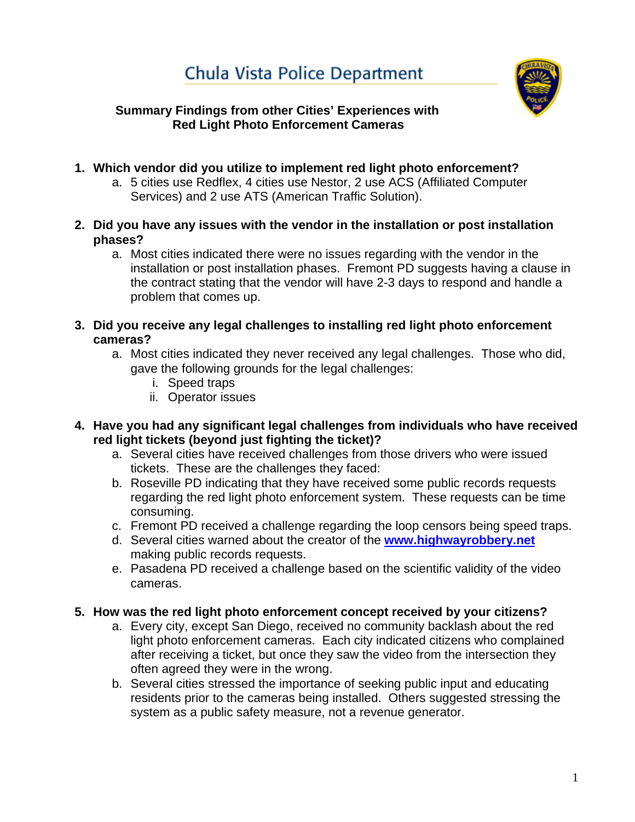# Chula Vista Police Department



# **Summary Findings from other Cities' Experiences with Red Light Photo Enforcement Cameras**

- **1. Which vendor did you utilize to implement red light photo enforcement?** 
	- a. 5 cities use Redflex, 4 cities use Nestor, 2 use ACS (Affiliated Computer Services) and 2 use ATS (American Traffic Solution).
- **2. Did you have any issues with the vendor in the installation or post installation phases?** 
	- a. Most cities indicated there were no issues regarding with the vendor in the installation or post installation phases. Fremont PD suggests having a clause in the contract stating that the vendor will have 2-3 days to respond and handle a problem that comes up.
- **3. Did you receive any legal challenges to installing red light photo enforcement cameras?** 
	- a. Most cities indicated they never received any legal challenges. Those who did, gave the following grounds for the legal challenges:
		- i. Speed traps
		- ii. Operator issues
- **4. Have you had any significant legal challenges from individuals who have received red light tickets (beyond just fighting the ticket)?** 
	- a. Several cities have received challenges from those drivers who were issued tickets. These are the challenges they faced:
	- b. Roseville PD indicating that they have received some public records requests regarding the red light photo enforcement system. These requests can be time consuming.
	- c. Fremont PD received a challenge regarding the loop censors being speed traps.
	- d. Several cities warned about the creator of the **www.highwayrobbery.net** making public records requests.
	- e. Pasadena PD received a challenge based on the scientific validity of the video cameras.
- **5. How was the red light photo enforcement concept received by your citizens?** 
	- a. Every city, except San Diego, received no community backlash about the red light photo enforcement cameras. Each city indicated citizens who complained after receiving a ticket, but once they saw the video from the intersection they often agreed they were in the wrong.
	- b. Several cities stressed the importance of seeking public input and educating residents prior to the cameras being installed. Others suggested stressing the system as a public safety measure, not a revenue generator.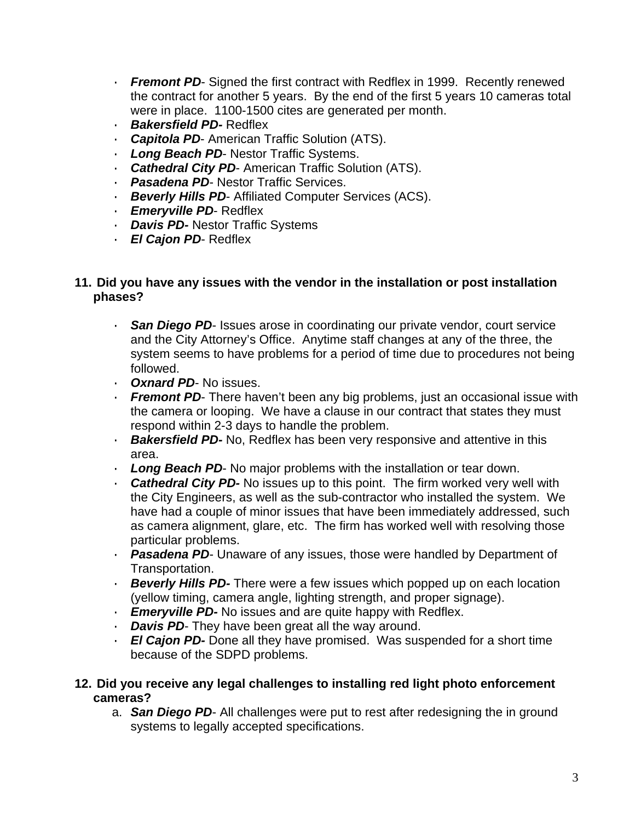- · *Fremont PD* Signed the first contract with Redflex in 1999. Recently renewed the contract for another 5 years. By the end of the first 5 years 10 cameras total were in place. 1100-1500 cites are generated per month.
- · *Bakersfield PD-* Redflex
- · *Capitola PD* American Traffic Solution (ATS).
- · *Long Beach PD* Nestor Traffic Systems.
- · *Cathedral City PD* American Traffic Solution (ATS).
- · *Pasadena PD* Nestor Traffic Services.
- · *Beverly Hills PD* Affiliated Computer Services (ACS).
- · *Emeryville PD* Redflex
- · *Davis PD-* Nestor Traffic Systems
- · *El Cajon PD* Redflex

## **11. Did you have any issues with the vendor in the installation or post installation phases?**

- · *San Diego PD* Issues arose in coordinating our private vendor, court service and the City Attorney's Office. Anytime staff changes at any of the three, the system seems to have problems for a period of time due to procedures not being followed.
- · *Oxnard PD* No issues.
- · *Fremont PD* There haven't been any big problems, just an occasional issue with the camera or looping. We have a clause in our contract that states they must respond within 2-3 days to handle the problem.
- · *Bakersfield PD-* No, Redflex has been very responsive and attentive in this area.
- · *Long Beach PD* No major problems with the installation or tear down.
- · *Cathedral City PD-* No issues up to this point. The firm worked very well with the City Engineers, as well as the sub-contractor who installed the system. We have had a couple of minor issues that have been immediately addressed, such as camera alignment, glare, etc. The firm has worked well with resolving those particular problems.
- · *Pasadena PD* Unaware of any issues, those were handled by Department of Transportation.
- · *Beverly Hills PD-* There were a few issues which popped up on each location (yellow timing, camera angle, lighting strength, and proper signage).
- · *Emeryville PD-* No issues and are quite happy with Redflex.
- · *Davis PD* They have been great all the way around.
- · *El Cajon PD-* Done all they have promised. Was suspended for a short time because of the SDPD problems.

#### **12. Did you receive any legal challenges to installing red light photo enforcement cameras?**

a. *San Diego PD*- All challenges were put to rest after redesigning the in ground systems to legally accepted specifications.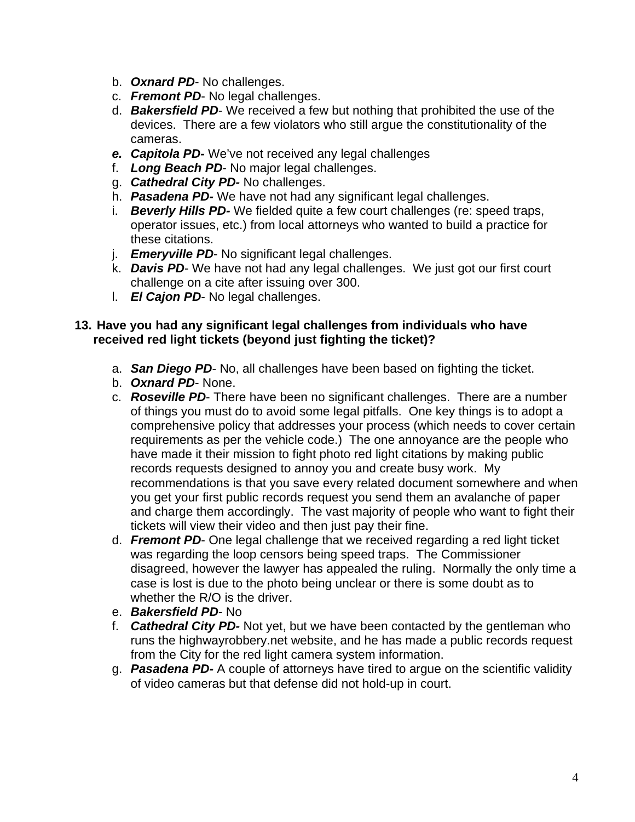- b. *Oxnard PD* No challenges.
- c. *Fremont PD* No legal challenges.
- d. *Bakersfield PD* We received a few but nothing that prohibited the use of the devices. There are a few violators who still argue the constitutionality of the cameras.
- *e. Capitola PD-* We've not received any legal challenges
- f. *Long Beach PD* No major legal challenges.
- g. *Cathedral City PD-* No challenges.
- h. *Pasadena PD-* We have not had any significant legal challenges.
- i. *Beverly Hills PD-* We fielded quite a few court challenges (re: speed traps, operator issues, etc.) from local attorneys who wanted to build a practice for these citations.
- j. *Emeryville PD* No significant legal challenges.
- k. *Davis PD* We have not had any legal challenges. We just got our first court challenge on a cite after issuing over 300.
- l. *El Cajon PD* No legal challenges.

## **13. Have you had any significant legal challenges from individuals who have received red light tickets (beyond just fighting the ticket)?**

- a. *San Diego PD* No, all challenges have been based on fighting the ticket.
- b. *Oxnard PD* None.
- c. *Roseville PD* There have been no significant challenges. There are a number of things you must do to avoid some legal pitfalls. One key things is to adopt a comprehensive policy that addresses your process (which needs to cover certain requirements as per the vehicle code.) The one annoyance are the people who have made it their mission to fight photo red light citations by making public records requests designed to annoy you and create busy work. My recommendations is that you save every related document somewhere and when you get your first public records request you send them an avalanche of paper and charge them accordingly. The vast majority of people who want to fight their tickets will view their video and then just pay their fine.
- d. *Fremont PD* One legal challenge that we received regarding a red light ticket was regarding the loop censors being speed traps. The Commissioner disagreed, however the lawyer has appealed the ruling. Normally the only time a case is lost is due to the photo being unclear or there is some doubt as to whether the R/O is the driver.
- e. *Bakersfield PD* No
- f. *Cathedral City PD-* Not yet, but we have been contacted by the gentleman who runs the highwayrobbery.net website, and he has made a public records request from the City for the red light camera system information.
- g. *Pasadena PD-* A couple of attorneys have tired to argue on the scientific validity of video cameras but that defense did not hold-up in court.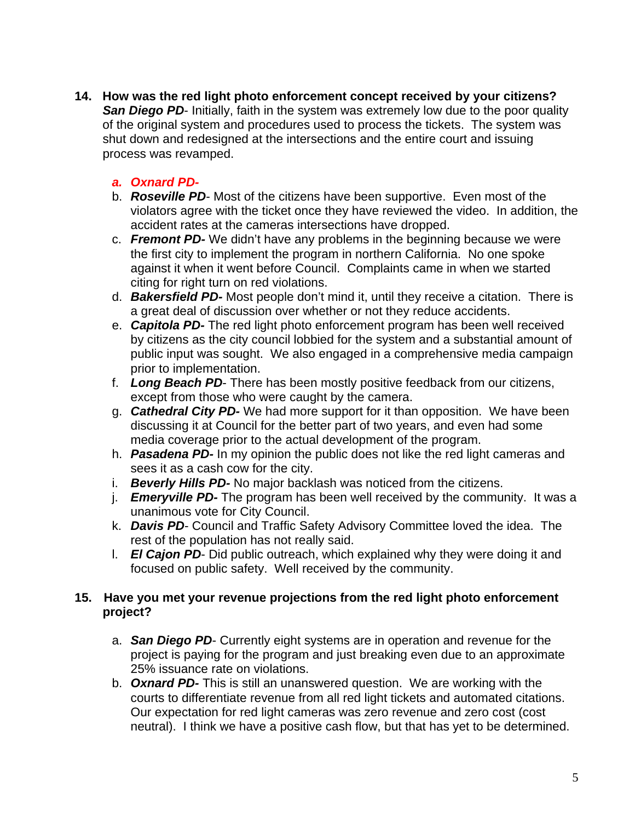**14. How was the red light photo enforcement concept received by your citizens? San Diego PD-** Initially, faith in the system was extremely low due to the poor quality of the original system and procedures used to process the tickets. The system was shut down and redesigned at the intersections and the entire court and issuing process was revamped.

# *a. Oxnard PD-*

- b. *Roseville PD* Most of the citizens have been supportive. Even most of the violators agree with the ticket once they have reviewed the video. In addition, the accident rates at the cameras intersections have dropped.
- c. *Fremont PD-* We didn't have any problems in the beginning because we were the first city to implement the program in northern California. No one spoke against it when it went before Council. Complaints came in when we started citing for right turn on red violations.
- d. *Bakersfield PD-* Most people don't mind it, until they receive a citation. There is a great deal of discussion over whether or not they reduce accidents.
- e. *Capitola PD-* The red light photo enforcement program has been well received by citizens as the city council lobbied for the system and a substantial amount of public input was sought. We also engaged in a comprehensive media campaign prior to implementation.
- f. *Long Beach PD* There has been mostly positive feedback from our citizens, except from those who were caught by the camera.
- g. *Cathedral City PD-* We had more support for it than opposition. We have been discussing it at Council for the better part of two years, and even had some media coverage prior to the actual development of the program.
- h. *Pasadena PD-* In my opinion the public does not like the red light cameras and sees it as a cash cow for the city.
- i. *Beverly Hills PD-* No major backlash was noticed from the citizens.
- j. *Emeryville PD-* The program has been well received by the community. It was a unanimous vote for City Council.
- k. *Davis PD* Council and Traffic Safety Advisory Committee loved the idea. The rest of the population has not really said.
- l. *El Cajon PD* Did public outreach, which explained why they were doing it and focused on public safety. Well received by the community.

# **15. Have you met your revenue projections from the red light photo enforcement project?**

- a. *San Diego PD* Currently eight systems are in operation and revenue for the project is paying for the program and just breaking even due to an approximate 25% issuance rate on violations.
- b. *Oxnard PD-* This is still an unanswered question. We are working with the courts to differentiate revenue from all red light tickets and automated citations. Our expectation for red light cameras was zero revenue and zero cost (cost neutral). I think we have a positive cash flow, but that has yet to be determined.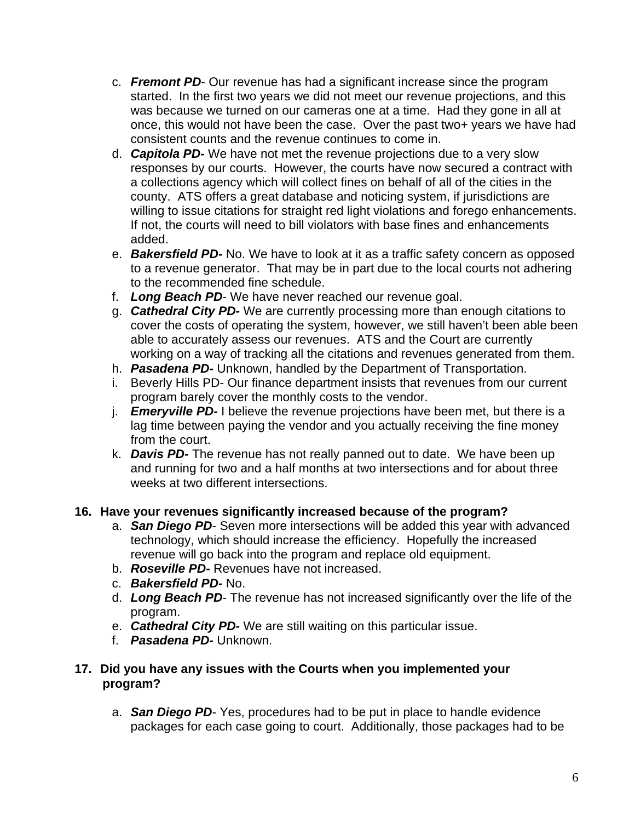- c. *Fremont PD* Our revenue has had a significant increase since the program started. In the first two years we did not meet our revenue projections, and this was because we turned on our cameras one at a time. Had they gone in all at once, this would not have been the case. Over the past two+ years we have had consistent counts and the revenue continues to come in.
- d. *Capitola PD-* We have not met the revenue projections due to a very slow responses by our courts. However, the courts have now secured a contract with a collections agency which will collect fines on behalf of all of the cities in the county. ATS offers a great database and noticing system, if jurisdictions are willing to issue citations for straight red light violations and forego enhancements. If not, the courts will need to bill violators with base fines and enhancements added.
- e. *Bakersfield PD-* No. We have to look at it as a traffic safety concern as opposed to a revenue generator. That may be in part due to the local courts not adhering to the recommended fine schedule.
- f. *Long Beach PD* We have never reached our revenue goal.
- g. *Cathedral City PD-* We are currently processing more than enough citations to cover the costs of operating the system, however, we still haven't been able been able to accurately assess our revenues. ATS and the Court are currently working on a way of tracking all the citations and revenues generated from them.
- h. *Pasadena PD-* Unknown, handled by the Department of Transportation.
- i. Beverly Hills PD- Our finance department insists that revenues from our current program barely cover the monthly costs to the vendor.
- j. *Emeryville PD-* I believe the revenue projections have been met, but there is a lag time between paying the vendor and you actually receiving the fine money from the court.
- k. *Davis PD-* The revenue has not really panned out to date. We have been up and running for two and a half months at two intersections and for about three weeks at two different intersections.

# **16. Have your revenues significantly increased because of the program?**

- a. *San Diego PD* Seven more intersections will be added this year with advanced technology, which should increase the efficiency. Hopefully the increased revenue will go back into the program and replace old equipment.
- b. *Roseville PD-* Revenues have not increased.
- c. *Bakersfield PD-* No.
- d. *Long Beach PD-* The revenue has not increased significantly over the life of the program.
- e. *Cathedral City PD-* We are still waiting on this particular issue.
- f. *Pasadena PD-* Unknown.

# **17. Did you have any issues with the Courts when you implemented your program?**

a. *San Diego PD*- Yes, procedures had to be put in place to handle evidence packages for each case going to court. Additionally, those packages had to be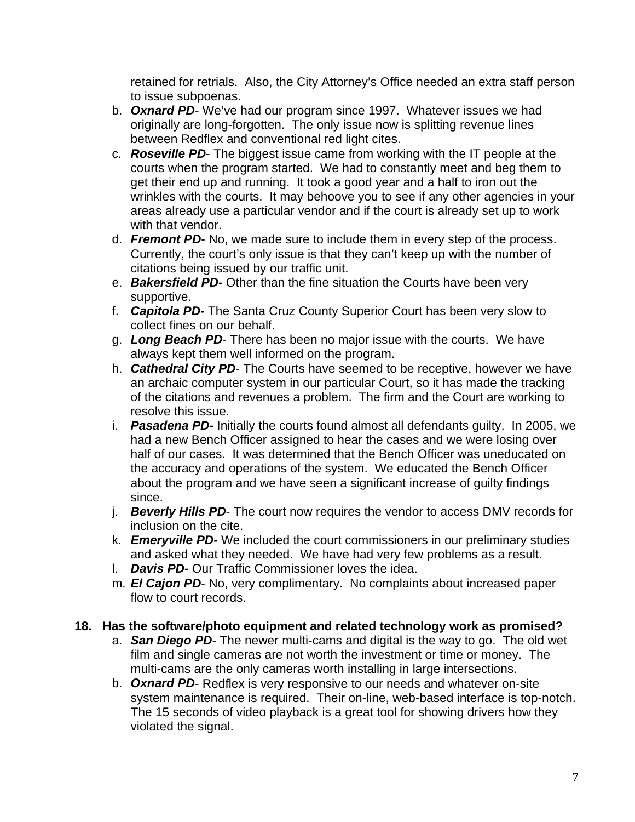retained for retrials. Also, the City Attorney's Office needed an extra staff person to issue subpoenas.

- b. *Oxnard PD* We've had our program since 1997. Whatever issues we had originally are long-forgotten. The only issue now is splitting revenue lines between Redflex and conventional red light cites.
- c. *Roseville PD* The biggest issue came from working with the IT people at the courts when the program started. We had to constantly meet and beg them to get their end up and running. It took a good year and a half to iron out the wrinkles with the courts. It may behoove you to see if any other agencies in your areas already use a particular vendor and if the court is already set up to work with that vendor.
- d. *Fremont PD* No, we made sure to include them in every step of the process. Currently, the court's only issue is that they can't keep up with the number of citations being issued by our traffic unit.
- e. *Bakersfield PD-* Other than the fine situation the Courts have been very supportive.
- f. *Capitola PD-* The Santa Cruz County Superior Court has been very slow to collect fines on our behalf.
- g. *Long Beach PD* There has been no major issue with the courts. We have always kept them well informed on the program.
- h. *Cathedral City PD* The Courts have seemed to be receptive, however we have an archaic computer system in our particular Court, so it has made the tracking of the citations and revenues a problem. The firm and the Court are working to resolve this issue.
- i. *Pasadena PD-* Initially the courts found almost all defendants guilty. In 2005, we had a new Bench Officer assigned to hear the cases and we were losing over half of our cases. It was determined that the Bench Officer was uneducated on the accuracy and operations of the system. We educated the Bench Officer about the program and we have seen a significant increase of guilty findings since.
- j. *Beverly Hills PD* The court now requires the vendor to access DMV records for inclusion on the cite.
- k. *Emeryville PD-* We included the court commissioners in our preliminary studies and asked what they needed. We have had very few problems as a result.
- l. *Davis PD-* Our Traffic Commissioner loves the idea.
- m. *El Cajon PD* No, very complimentary. No complaints about increased paper flow to court records.

# **18. Has the software/photo equipment and related technology work as promised?**

- a. *San Diego PD* The newer multi-cams and digital is the way to go. The old wet film and single cameras are not worth the investment or time or money. The multi-cams are the only cameras worth installing in large intersections.
- b. *Oxnard PD* Redflex is very responsive to our needs and whatever on-site system maintenance is required. Their on-line, web-based interface is top-notch. The 15 seconds of video playback is a great tool for showing drivers how they violated the signal.